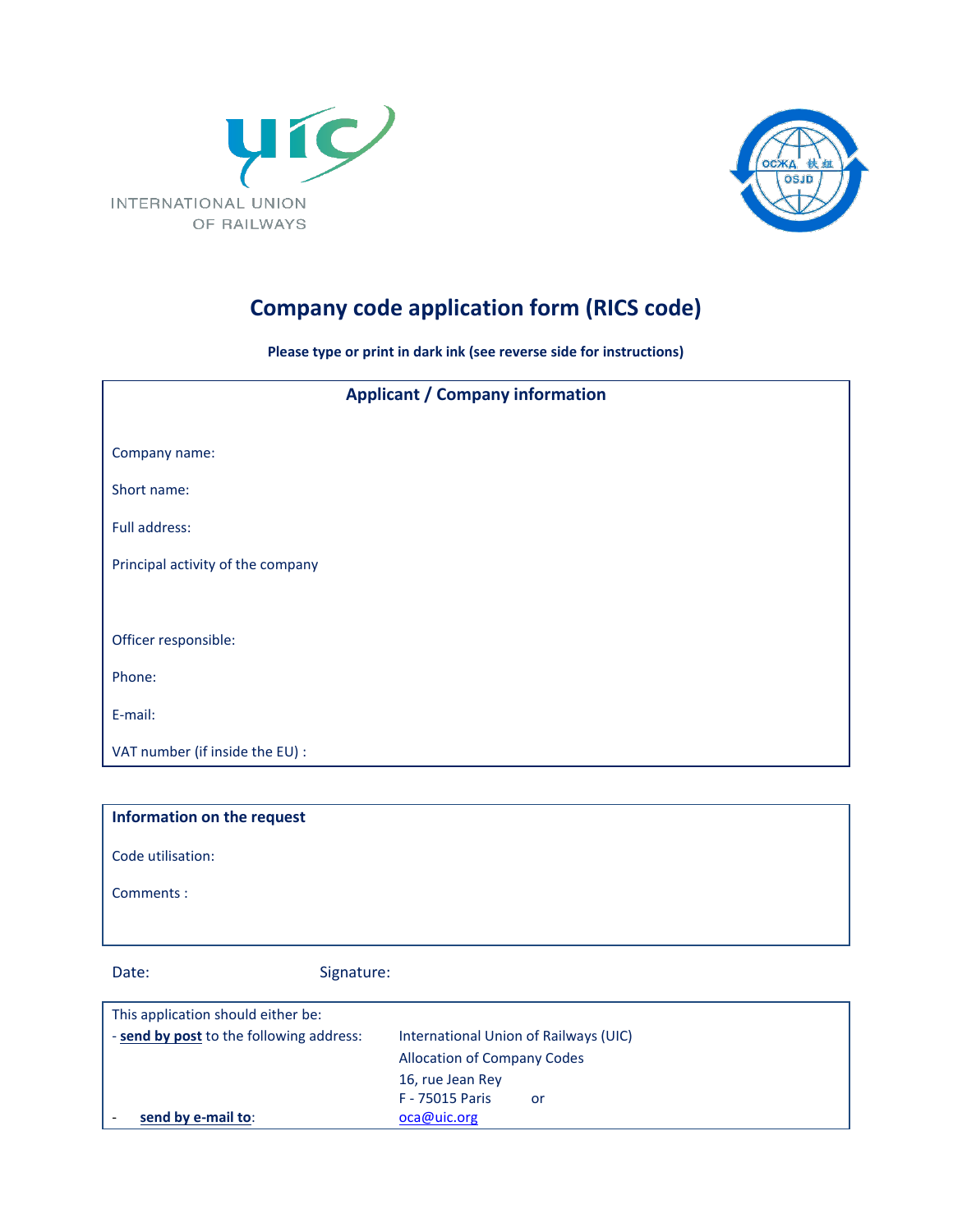



# **Company code application form (RICS code)**

**Please type or print in dark ink (see reverse side for instructions)**

| <b>Applicant / Company information</b> |  |
|----------------------------------------|--|
|                                        |  |
| Company name:                          |  |
| Short name:                            |  |
| Full address:                          |  |
| Principal activity of the company      |  |
|                                        |  |
| Officer responsible:                   |  |
| Phone:                                 |  |
| E-mail:                                |  |
| VAT number (if inside the EU) :        |  |

| Information on the request |
|----------------------------|
| Code utilisation:          |
| Comments :                 |
|                            |

Date: Signature:

| This application should either be:       |                                       |
|------------------------------------------|---------------------------------------|
| - send by post to the following address: | International Union of Railways (UIC) |
|                                          | <b>Allocation of Company Codes</b>    |
|                                          | 16, rue Jean Rey                      |
|                                          | <b>F</b> - 75015 Paris<br>or          |
| send by e-mail to:                       | oca@uic.org                           |